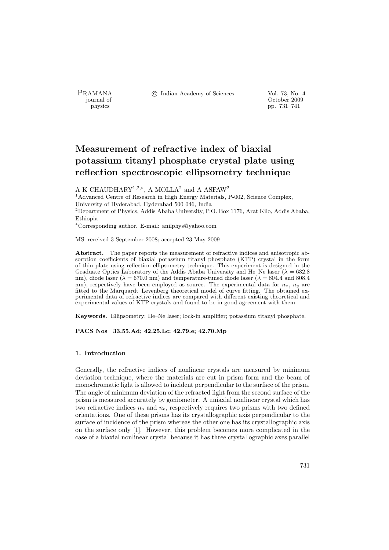PRAMANA <sup>C</sup> Indian Academy of Sciences Vol. 73, No. 4<br>
— journal of Cortober 2009

physics and the contract of the contract of the contract of the contract of the contract of the contract of the contract of the contract of the contract of the contract of the contract of the contract of the contract of th physics pp. 731–741

# Measurement of refractive index of biaxial potassium titanyl phosphate crystal plate using reflection spectroscopic ellipsometry technique

A K CHAUDHARY<sup>1,2,\*</sup>, A MOLLA<sup>2</sup> and A ASFAW<sup>2</sup>

<sup>1</sup>Advanced Centre of Research in High Energy Materials, P-002, Science Complex, University of Hyderabad, Hyderabad 500 046, India <sup>2</sup>Department of Physics, Addis Ababa University, P.O. Box 1176, Arat Kilo, Addis Ababa, Ethiopia

<sup>∗</sup>Corresponding author. E-mail: anilphys@yahoo.com

MS received 3 September 2008; accepted 23 May 2009

Abstract. The paper reports the measurement of refractive indices and anisotropic absorption coefficients of biaxial potassium titanyl phosphate (KTP) crystal in the form of thin plate using reflection ellipsometry technique. This experiment is designed in the Graduate Optics Laboratory of the Addis Ababa University and He–Ne laser  $(\lambda = 632.8$ nm), diode laser ( $\lambda = 670.0$  nm) and temperature-tuned diode laser ( $\lambda = 804.4$  and 808.4 nm), respectively have been employed as source. The experimental data for  $n_x$ ,  $n_y$  are fitted to the Marquardt–Levenberg theoretical model of curve fitting. The obtained experimental data of refractive indices are compared with different existing theoretical and experimental values of KTP crystals and found to be in good agreement with them.

Keywords. Ellipsometry; He–Ne laser; lock-in amplifier; potassium titanyl phosphate.

PACS Nos 33.55.Ad; 42.25.Lc; 42.79.e; 42.70.Mp

## 1. Introduction

Generally, the refractive indices of nonlinear crystals are measured by minimum deviation technique, where the materials are cut in prism form and the beam of monochromatic light is allowed to incident perpendicular to the surface of the prism. The angle of minimum deviation of the refracted light from the second surface of the prism is measured accurately by goniometer. A uniaxial nonlinear crystal which has two refractive indices  $n_0$  and  $n_e$ , respectively requires two prisms with two defined orientations. One of these prisms has its crystallographic axis perpendicular to the surface of incidence of the prism whereas the other one has its crystallographic axis on the surface only [1]. However, this problem becomes more complicated in the case of a biaxial nonlinear crystal because it has three crystallographic axes parallel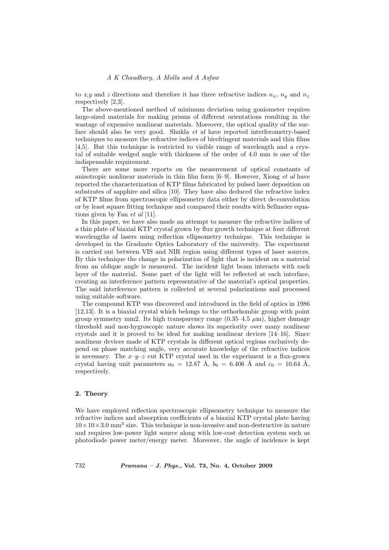to x,y and z directions and therefore it has three refractive indices  $n_x$ ,  $n_y$  and  $n_z$ respectively [2,3].

The above-mentioned method of minimum deviation using goniometer requires large-sized materials for making prisms of different orientations resulting in the wastage of expensive nonlinear materials. Moreover, the optical quality of the surface should also be very good. Shukla et al have reported interferometry-based techniques to measure the refractive indices of birefringent materials and thin films [4,5]. But this technique is restricted to visible range of wavelength and a crystal of suitable wedged angle with thickness of the order of 4.0 mm is one of the indispensable requirement.

There are some more reports on the measurement of optical constants of anisotropic nonlinear materials in thin film form [6–9]. However, Xiong et al have reported the characterization of KTP films fabricated by pulsed laser deposition on substrates of sapphire and silica [10]. They have also deduced the refractive index of KTP films from spectroscopic ellipsometry data either by direct de-convolution or by least square fitting technique and compared their results with Sellmeier equations given by Fan et al [11].

In this paper, we have also made an attempt to measure the refractive indices of a thin plate of biaxial KTP crystal grown by flux growth technique at four different wavelengths of lasers using reflection ellipsometry technique. This technique is developed in the Graduate Optics Laboratory of the university. The experiment is carried out between VIS and NIR region using different types of laser sources. By this technique the change in polarization of light that is incident on a material from an oblique angle is measured. The incident light beam interacts with each layer of the material. Some part of the light will be reflected at each interface, creating an interference pattern representative of the material's optical properties. The said interference pattern is collected at several polarizations and processed using suitable software.

The compound KTP was discovered and introduced in the field of optics in 1986 [12,13]. It is a biaxial crystal which belongs to the orthorhombic group with point group symmetry mm2. Its high transparency range  $(0.35-4.5 \ \mu m)$ , higher damage threshold and non-hygroscopic nature shows its superiority over many nonlinear crystals and it is proved to be ideal for making nonlinear devices [14–16]. Since nonlinear devices made of KTP crystals in different optical regions exclusively depend on phase matching angle, very accurate knowledge of the refractive indices is necessary. The  $x-y-z$  cut KTP crystal used in the experiment is a flux-grown crystal having unit parameters  $a_0 = 12.87 \text{ Å}, b_0 = 6.406 \text{ Å}$  and  $c_0 = 10.64 \text{ Å},$ respectively.

#### 2. Theory

We have employed reflection spectroscopic ellipsometry technique to measure the refractive indices and absorption coefficients of a biaxial KTP crystal plate having  $10 \times 10 \times 3.0$  mm<sup>3</sup> size. This technique is non-invasive and non-destructive in nature and requires low-power light source along with low-cost detection system such as photodiode power meter/energy meter. Moreover, the angle of incidence is kept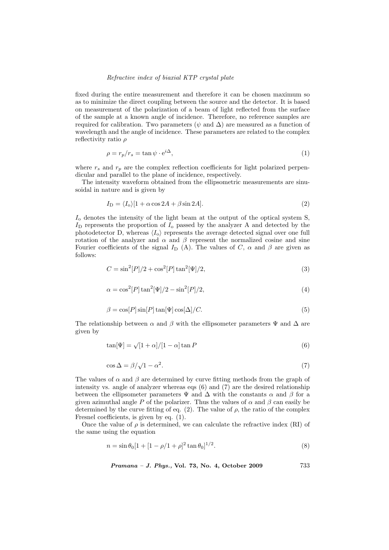fixed during the entire measurement and therefore it can be chosen maximum so as to minimize the direct coupling between the source and the detector. It is based on measurement of the polarization of a beam of light reflected from the surface of the sample at a known angle of incidence. Therefore, no reference samples are required for calibration. Two parameters ( $\psi$  and  $\Delta$ ) are measured as a function of wavelength and the angle of incidence. These parameters are related to the complex reflectivity ratio ρ

$$
\rho = r_p / r_s = \tan \psi \cdot e^{i\Delta},\tag{1}
$$

where  $r_s$  and  $r_p$  are the complex reflection coefficients for light polarized perpendicular and parallel to the plane of incidence, respectively.

The intensity waveform obtained from the ellipsometric measurements are sinusoidal in nature and is given by

$$
I_{\rm D} = \langle I_{\rm o} \rangle [1 + \alpha \cos 2A + \beta \sin 2A]. \tag{2}
$$

 $I_0$  denotes the intensity of the light beam at the output of the optical system S,  $I_D$  represents the proportion of  $I_o$  passed by the analyzer A and detected by the photodetector D, whereas  $\langle I_{\alpha} \rangle$  represents the average detected signal over one full rotation of the analyzer and  $\alpha$  and  $\beta$  represent the normalized cosine and sine Fourier coefficients of the signal  $I_D$  (A). The values of C,  $\alpha$  and  $\beta$  are given as follows:

$$
C = \sin^2[P]/2 + \cos^2[P] \tan^2[\Psi]/2,
$$
\n(3)

$$
\alpha = \cos^2[P] \tan^2[\Psi]/2 - \sin^2[P]/2,\tag{4}
$$

$$
\beta = \cos[P] \sin[P] \tan[\Psi] \cos[\Delta]/C.
$$
\n(5)

The relationship between  $\alpha$  and  $\beta$  with the ellipsometer parameters  $\Psi$  and  $\Delta$  are given by

$$
\tan[\Psi] = \sqrt{[1+\alpha]/[1-\alpha]}\tan P\tag{6}
$$

$$
\cos \Delta = \beta / \sqrt{1 - \alpha^2}.\tag{7}
$$

The values of  $\alpha$  and  $\beta$  are determined by curve fitting methods from the graph of intensity vs. angle of analyzer whereas eqs (6) and (7) are the desired relationship between the ellipsometer parameters  $\Psi$  and  $\Delta$  with the constants  $\alpha$  and  $\beta$  for a given azimuthal angle P of the polarizer. Thus the values of  $\alpha$  and  $\beta$  can easily be determined by the curve fitting of eq. (2). The value of  $\rho$ , the ratio of the complex Fresnel coefficients, is given by eq. (1).

Once the value of  $\rho$  is determined, we can calculate the refractive index (RI) of the same using the equation

$$
n = \sin \theta_0 [1 + [1 - \rho/1 + \rho]^2 \tan \theta_0]^{1/2}.
$$
\n(8)

Pramana – J. Phys., Vol. 73, No. 4, October 2009 733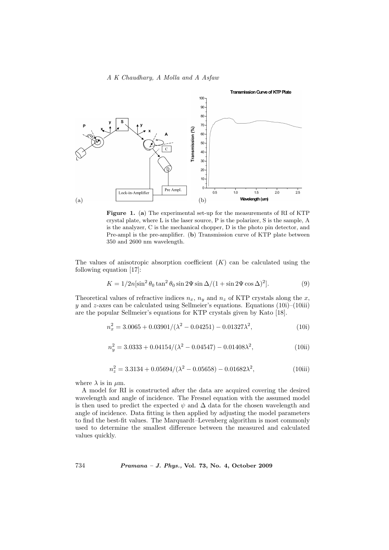## A K Chaudhary, A Molla and A Asfaw



Figure 1. (a) The experimental set-up for the measurements of RI of KTP crystal plate, where L is the laser source, P is the polarizer, S is the sample, A is the analyzer, C is the mechanical chopper, D is the photo pin detector, and Pre-ampl is the pre-amplifier. (b) Transmission curve of KTP plate between 350 and 2600 nm wavelength.

The values of anisotropic absorption coefficient  $(K)$  can be calculated using the following equation [17]:

$$
K = 1/2n\left[\sin^2\theta_0\tan^2\theta_0\sin 2\Psi\sin\Delta/(1+\sin 2\Psi\cos\Delta)^2\right].\tag{9}
$$

Theoretical values of refractive indices  $n_x$ ,  $n_y$  and  $n_z$  of KTP crystals along the x, y and z-axes can be calculated using Sellmeier's equations. Equations  $(10i)$ – $(10iii)$ are the popular Sellmeier's equations for KTP crystals given by Kato [18].

$$
n_x^2 = 3.0065 + 0.03901/(\lambda^2 - 0.04251) - 0.01327\lambda^2,
$$
\n(10i)

$$
n_y^2 = 3.0333 + 0.04154/(\lambda^2 - 0.04547) - 0.01408\lambda^2,
$$
\n(10ii)

$$
n_z^2 = 3.3134 + 0.05694/(\lambda^2 - 0.05658) - 0.01682\lambda^2,
$$
\n(10iii)

where  $\lambda$  is in  $\mu$ m.

A model for RI is constructed after the data are acquired covering the desired wavelength and angle of incidence. The Fresnel equation with the assumed model is then used to predict the expected  $\psi$  and  $\Delta$  data for the chosen wavelength and angle of incidence. Data fitting is then applied by adjusting the model parameters to find the best-fit values. The Marquardt–Levenberg algorithm is most commonly used to determine the smallest difference between the measured and calculated values quickly.

734 Pramana – J. Phys., Vol. 73, No. 4, October 2009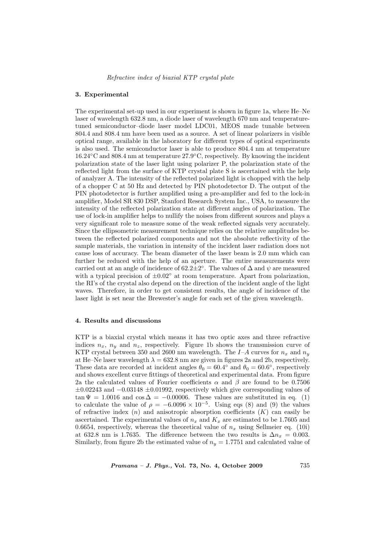### 3. Experimental

The experimental set-up used in our experiment is shown in figure 1a, where He–Ne laser of wavelength 632.8 nm, a diode laser of wavelength 670 nm and temperaturetuned semiconductor–diode laser model LDC01, MEOS made tunable between 804.4 and 808.4 nm have been used as a source. A set of linear polarizers in visible optical range, available in the laboratory for different types of optical experiments is also used. The semiconductor laser is able to produce 804.4 nm at temperature 16.24◦C and 808.4 nm at temperature 27.9◦C, respectively. By knowing the incident polarization state of the laser light using polarizer P, the polarization state of the reflected light from the surface of KTP crystal plate S is ascertained with the help of analyzer A. The intensity of the reflected polarized light is chopped with the help of a chopper C at 50 Hz and detected by PIN photodetector D. The output of the PIN photodetector is further amplified using a pre-amplifier and fed to the lock-in amplifier, Model SR 830 DSP, Stanford Research System Inc., USA, to measure the intensity of the reflected polarization state at different angles of polarization. The use of lock-in amplifier helps to nullify the noises from different sources and plays a very significant role to measure some of the weak reflected signals very accurately. Since the ellipsometric measurement technique relies on the relative amplitudes between the reflected polarized components and not the absolute reflectivity of the sample materials, the variation in intensity of the incident laser radiation does not cause loss of accuracy. The beam diameter of the laser beam is 2.0 mm which can further be reduced with the help of an aperture. The entire measurements were carried out at an angle of incidence of 62.2 $\pm 2^{\circ}$ . The values of  $\Delta$  and  $\psi$  are measured with a typical precision of  $\pm 0.02^{\circ}$  at room temperature. Apart from polarization, the RI's of the crystal also depend on the direction of the incident angle of the light waves. Therefore, in order to get consistent results, the angle of incidence of the laser light is set near the Brewester's angle for each set of the given wavelength.

## 4. Results and discussions

KTP is a biaxial crystal which means it has two optic axes and three refractive indices  $n_x$ ,  $n_y$  and  $n_z$ , respectively. Figure 1b shows the transmission curve of KTP crystal between 350 and 2600 nm wavelength. The I-A curves for  $n_x$  and  $n_y$ at He–Ne laser wavelength  $\lambda = 632.8$  nm are given in figures 2a and 2b, respectively. These data are recorded at incident angles  $\theta_0 = 60.4^{\circ}$  and  $\theta_0 = 60.6^{\circ}$ , respectively and shows excellent curve fittings of theoretical and experimental data. From figure 2a the calculated values of Fourier coefficients  $\alpha$  and  $\beta$  are found to be 0.7506  $\pm 0.02243$  and  $-0.03148 \pm 0.01992$ , respectively which give corresponding values of  $\tan \Psi = 1.0016$  and  $\cos \Delta = -0.00006$ . These values are substituted in eq. (1) to calculate the value of  $\rho = -6.0096 \times 10^{-5}$ . Using eqs (8) and (9) the values of refractive index  $(n)$  and anisotropic absorption coefficients  $(K)$  can easily be ascertained. The experimental values of  $n_x$  and  $K_x$  are estimated to be 1.7605 and 0.6654, respectively, whereas the theoretical value of  $n_x$  using Sellmeier eq. (10i) at 632.8 nm is 1.7635. The difference between the two results is  $\Delta n_x = 0.003$ . Similarly, from figure 2b the estimated value of  $n_y = 1.7751$  and calculated value of

 $Pramana - J. Phys., Vol. 73, No. 4, October 2009 735$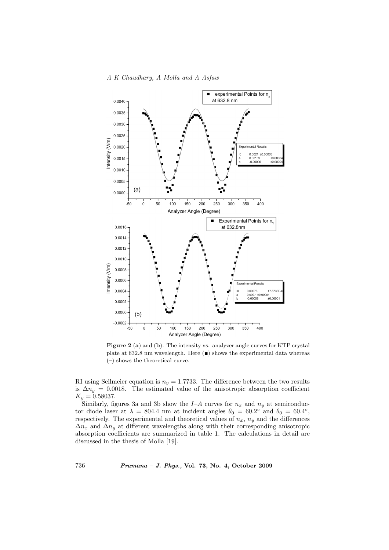

Figure 2 (a) and (b). The intensity vs. analyzer angle curves for KTP crystal plate at 632.8 nm wavelength. Here  $(\blacksquare)$  shows the experimental data whereas (–) shows the theoretical curve.

RI using Sellmeier equation is  $n_y = 1.7733$ . The difference between the two results is  $\Delta n_y = 0.0018$ . The estimated value of the anisotropic absorption coefficient  $K_y = 0.58037.$ 

Similarly, figures 3a and 3b show the  $I-A$  curves for  $n_x$  and  $n_y$  at semiconductor diode laser at  $\lambda = 804.4$  nm at incident angles  $\theta_0 = 60.2^{\circ}$  and  $\theta_0 = 60.4^{\circ}$ , respectively. The experimental and theoretical values of  $n_x$ ,  $n_y$  and the differences  $\Delta n_x$  and  $\Delta n_y$  at different wavelengths along with their corresponding anisotropic absorption coefficients are summarized in table 1. The calculations in detail are discussed in the thesis of Molla [19].

736 Pramana – J. Phys., Vol. 73, No. 4, October 2009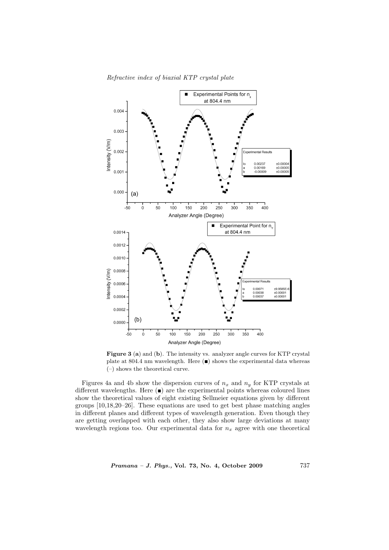

Figure 3 (a) and (b). The intensity vs. analyzer angle curves for KTP crystal plate at 804.4 nm wavelength. Here  $(\blacksquare)$  shows the experimental data whereas (–) shows the theoretical curve.

Figures 4a and 4b show the dispersion curves of  $n_x$  and  $n_y$  for KTP crystals at different wavelengths. Here  $($  $)$  are the experimental points whereas coloured lines show the theoretical values of eight existing Sellmeier equations given by different groups [10,18,20–26]. These equations are used to get best phase matching angles in different planes and different types of wavelength generation. Even though they are getting overlapped with each other, they also show large deviations at many wavelength regions too. Our experimental data for  $n_x$  agree with one theoretical

Pramana – J. Phys., Vol. 73, No. 4, October 2009 737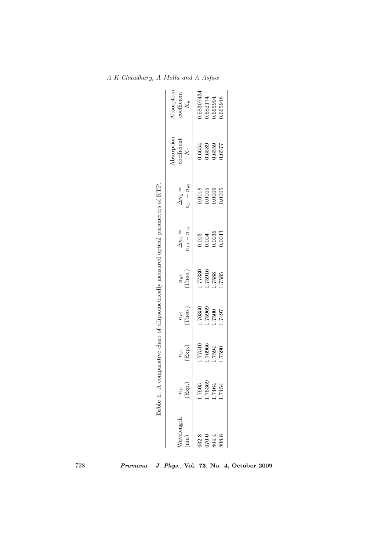| $n_{y1} - n_{y2}$<br>$\Delta n_y =$<br>$\begin{array}{c} 0.0018 \\ 0.0005 \\ 0.0006 \\ 0.0006 \end{array}$<br>$n_{x1}-n_{x2}$<br>$\Delta n_x =$<br>$\begin{array}{c} 0.003 \\ 0.004 \\ 0.0036 \\ 0.0043 \end{array}$<br>1.77330<br>1.75916<br>$\sum_{(\text{Theo.})}^{n_{y2}}$<br>$\frac{n_{x2}}{\text{Theo.}}$<br>1.76350<br>1.75969<br>01922.7<br>1.76966<br>$\binom{n_{y1}}{\text{Exp.}}$<br>1.7605<br>.76369<br>$\frac{n_{x1}}{\text{Exp.}}$<br>Vavelength<br>332.8<br>370.0<br>$\mathbf{m}$ |       | comparative chart of ellipsometrically measured optical parameters of KTP. |        |        |        |  |                                                           |                                    |
|--------------------------------------------------------------------------------------------------------------------------------------------------------------------------------------------------------------------------------------------------------------------------------------------------------------------------------------------------------------------------------------------------------------------------------------------------------------------------------------------------|-------|----------------------------------------------------------------------------|--------|--------|--------|--|-----------------------------------------------------------|------------------------------------|
|                                                                                                                                                                                                                                                                                                                                                                                                                                                                                                  |       |                                                                            |        |        |        |  | Absorption<br>coefficient $K_x$                           | Absorption<br>coefficient<br>$K_y$ |
|                                                                                                                                                                                                                                                                                                                                                                                                                                                                                                  |       |                                                                            |        |        |        |  |                                                           | 1.58307434                         |
|                                                                                                                                                                                                                                                                                                                                                                                                                                                                                                  |       |                                                                            |        |        |        |  | $\begin{array}{c} 0.6654 \\ 0.6589 \\ 0.6559 \end{array}$ | .582174                            |
|                                                                                                                                                                                                                                                                                                                                                                                                                                                                                                  | 804.4 | 1.7464                                                                     | 1.7594 | 1.7500 | 1.7588 |  |                                                           | .665994                            |
| 1.7585<br>1671.1<br>1.7590<br>1.7454<br>808.8                                                                                                                                                                                                                                                                                                                                                                                                                                                    |       |                                                                            |        |        |        |  | 1.6577                                                    | .665918                            |

A K Chaudhary, A Molla and A Asfaw

738 Pramana – J. Phys., Vol. 73, No. 4, October 2009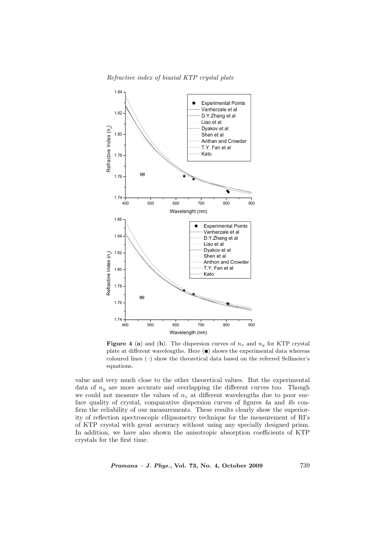Refractive index of biaxial KTP crystal plate



**Figure 4 (a)** and (b). The dispersion curves of  $n_x$  and  $n_y$  for KTP crystal plate at different wavelengths. Here  $(\blacksquare)$  shows the experimental data whereas coloured lines (–) show the theoretical data based on the referred Sellmeier's equations.

value and very much close to the other theoretical values. But the experimental data of  $n_y$  are more accurate and overlapping the different curves too. Though we could not measure the values of  $n<sub>z</sub>$  at different wavelengths due to poor surface quality of crystal, comparative dispersion curves of figures 4a and 4b confirm the reliability of our measurements. These results clearly show the superiority of reflection spectroscopic ellipsometry technique for the measurement of RI's of KTP crystal with great accuracy without using any specially designed prism. In addition, we have also shown the anisotropic absorption coefficients of KTP crystals for the first time.

Pramana – J. Phys., Vol. 73, No. 4, October 2009 739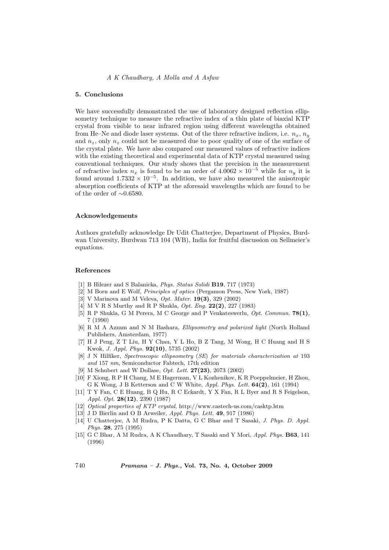## A K Chaudhary, A Molla and A Asfaw

## 5. Conclusions

We have successfully demonstrated the use of laboratory designed reflection ellipsometry technique to measure the refractive index of a thin plate of biaxial KTP crystal from visible to near infrared region using different wavelengths obtained from He–Ne and diode laser systems. Out of the three refractive indices, i.e.  $n_x$ ,  $n_y$ and  $n_z$ , only  $n_z$  could not be measured due to poor quality of one of the surface of the crystal plate. We have also compared our measured values of refractive indices with the existing theoretical and experimental data of KTP crystal measured using conventional techniques. Our study shows that the precision in the measurement of refractive index  $n_x$  is found to be an order of  $4.0062 \times 10^{-5}$  while for  $n_y$  it is found around  $1.7332 \times 10^{-5}$ . In addition, we have also measured the anisotropic absorption coefficients of KTP at the aforesaid wavelengths which are found to be of the order of  $\sim 0.6580$ .

### Acknowledgements

Authors gratefully acknowledge Dr Udit Chatterjee, Department of Physics, Burdwan University, Burdwan 713 104 (WB), India for fruitful discussion on Sellmeier's equations.

#### References

- [1] B Hilezer and S Balanicka, Phys. Status Solidi B19, 717 (1973)
- [2] M Born and E Wolf, Principles of optics (Pergamon Press, New York, 1987)
- [3] V Marinova and M Veleva, *Opt. Mater.* **19(3)**, 329 (2002)
- [4] M V R S Murthy and R P Shukla, *Opt. Eng.* **22(2)**, 227 (1983)
- [5] R P Shukla, G M Perera, M C George and P Venkateswerlu, Opt. Commun. 78(1), 7 (1990)
- [6] R M A Azzam and N M Bashara, Ellipsometry and polarized light (North Holland Publishers, Amsterdam, 1977)
- [7] H J Peng, Z T Liu, H Y Chau, Y L Ho, B Z Tang, M Wong, H C Huang and H S Kwok, J. Appl. Phys. 92(10), 5735 (2002)
- [8] J N Hilfiker, Spectroscopic ellipsometry (SE) for materials characterization at 193 and 157 nm, Semiconductor Fabtech, 17th edition
- [9] M Schubert and W Dollase, Opt. Lett. 27(23), 2073 (2002)
- [10] F Xiong, R P H Chang, M E Hagerman, V L Kozhenikov, K R Poeppelmeier, H Zhou, G K Wong, J B Ketterson and C W White, Appl. Phys. Lett. 64(2), 161 (1994)
- [11] T Y Fan, C E Huang, B Q Hu, R C Eckardt, Y X Fan, R L Byer and R S Feigelson, Appl. Opt. 28(12), 2390 (1987)
- [12] Optical properties of KTP crystal, http://www.castech-us.com/casktp.htm
- [13] J D Bierlin and O B Arweiler, Appl. Phys. Lett. 49, 917 (1986)
- [14] U Chatterjee, A M Rudra, P K Datta, G C Bhar and T Sasaki, J. Phys. D. Appl. Phys. 28, 275 (1995)
- [15] G C Bhar, A M Rudra, A K Chaudhary, T Sasaki and Y Mori, Appl. Phys. B63, 141 (1996)